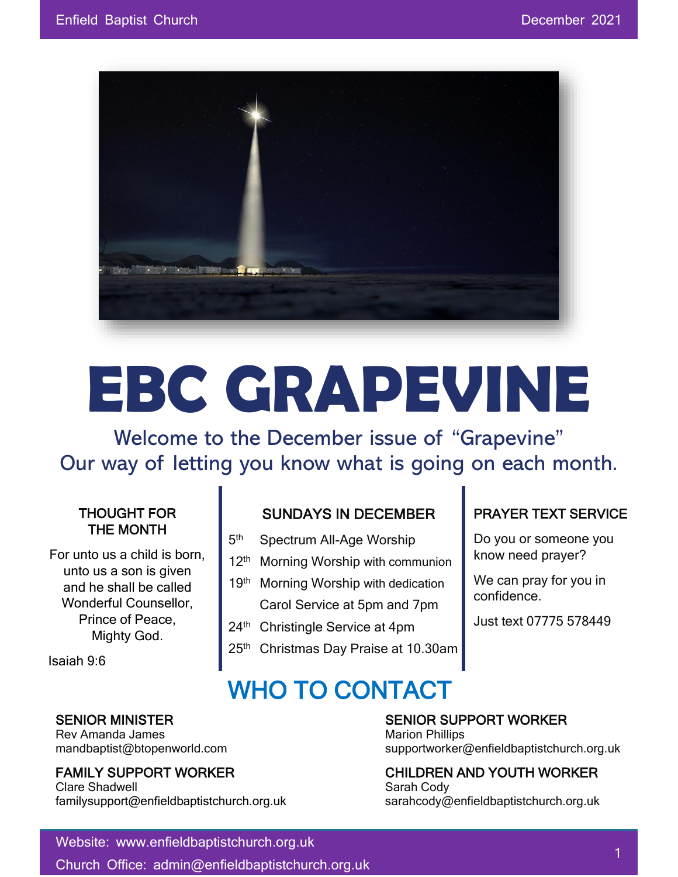

# **EBC GRAPEVINE**

Welcome to the December issue of "Grapevine" Our way of letting you know what is going on each month.

#### THOUGHT FOR THE MONTH

For unto us a child is born, unto us a son is given and he shall be called Wonderful Counsellor, Prince of Peace, Mighty God.

Isaiah 9:6

#### SUNDAYS IN DECEMBER Spectrum All-Age Worship

- 5<sup>th</sup>
- 12<sup>th</sup> Morning Worship with communion
- 19th Morning Worship with dedication Carol Service at 5pm and 7pm
- 24<sup>th</sup> Christingle Service at 4pm
- 25<sup>th</sup> Christmas Day Praise at 10.30am

WHO TO CONTACT

#### PRAYER TEXT SERVICE

Do you or someone you know need prayer?

We can pray for you in confidence.

Just text 07775 578449

Rev Amanda James Marion Phillips New York 1997

Clare Shadwell **Sarah Cody** Sarah Cody familysupport@enfieldbaptistchurch.org.uk sarahcody@enfieldbaptistchurch.org.uk

## SENIOR MINISTER SENIOR SUPPORT WORKER

mandbaptist@btopenworld.com supportworker@enfieldbaptistchurch.org.uk

# FAMILY SUPPORT WORKER CHILDREN AND YOUTH WORKER

#### Website: www.enfieldbaptistchurch.org.uk

Church Office: admin@enfieldbaptistchurch.org.uk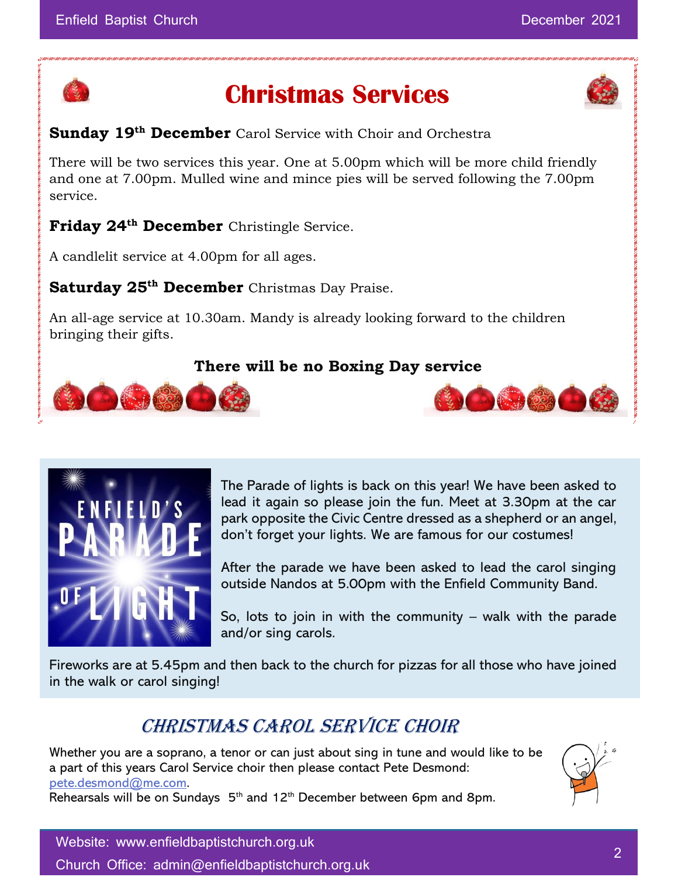

## **Christmas Services**

#### **Sunday 19th December** Carol Service with Choir and Orchestra

There will be two services this year. One at 5.00pm which will be more child friendly and one at 7.00pm. Mulled wine and mince pies will be served following the 7.00pm service.

#### **Friday 24th December** Christingle Service.

A candlelit service at 4.00pm for all ages.

**Saturday 25th December** Christmas Day Praise.

An all-age service at 10.30am. Mandy is already looking forward to the children bringing their gifts.

#### **There will be no Boxing Day service**





The Parade of lights is back on this year! We have been asked to lead it again so please join the fun. Meet at 3.30pm at the car park opposite the Civic Centre dressed as a shepherd or an angel, don't forget your lights. We are famous for our costumes!

OGGO

After the parade we have been asked to lead the carol singing outside Nandos at 5.00pm with the Enfield Community Band.

So, lots to join in with the community – walk with the parade and/or sing carols.

Fireworks are at 5.45pm and then back to the church for pizzas for all those who have joined in the walk or carol singing!

## CHRISTMAS CAROL SERVICE CHOIR

Whether you are a soprano, a tenor or can just about sing in tune and would like to be a part of this years Carol Service choir then please contact Pete Desmond: [pete.desmond@me.com.](mailto:pete.desmond@me.com) Rehearsals will be on Sundays 5<sup>th</sup> and 12<sup>th</sup> December between 6pm and 8pm.



Website: www.enfieldbaptistchurch.org.uk Church Office: admin@enfieldbaptistchurch.org.uk